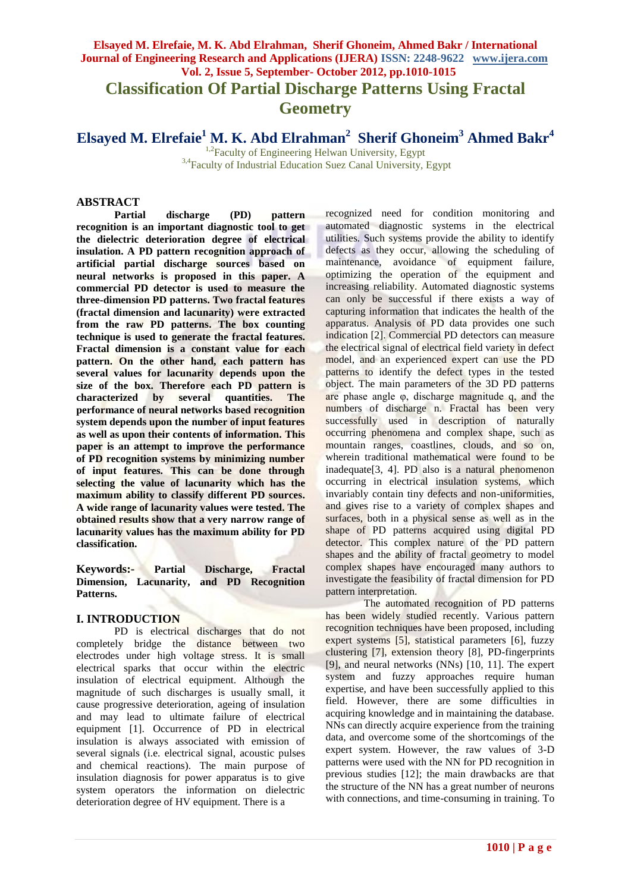# **Elsayed M. Elrefaie, M. K. Abd Elrahman, Sherif Ghoneim, Ahmed Bakr / International Journal of Engineering Research and Applications (IJERA) ISSN: 2248-9622 www.ijera.com Vol. 2, Issue 5, September- October 2012, pp.1010-1015 Classification Of Partial Discharge Patterns Using Fractal Geometry**

**Elsayed M. Elrefaie<sup>1</sup> M. K. Abd Elrahman<sup>2</sup> Sherif Ghoneim<sup>3</sup> Ahmed Bakr<sup>4</sup>**

<sup>1,2</sup>Faculty of Engineering Helwan University, Egypt <sup>3,4</sup>Faculty of Industrial Education Suez Canal University, Egypt

#### **ABSTRACT**

**Partial discharge (PD) pattern recognition is an important diagnostic tool to get the dielectric deterioration degree of electrical insulation. A PD pattern recognition approach of artificial partial discharge sources based on neural networks is proposed in this paper. A commercial PD detector is used to measure the three-dimension PD patterns. Two fractal features (fractal dimension and lacunarity) were extracted from the raw PD patterns. The box counting technique is used to generate the fractal features. Fractal dimension is a constant value for each pattern. On the other hand, each pattern has several values for lacunarity depends upon the size of the box. Therefore each PD pattern is characterized by several quantities. The performance of neural networks based recognition system depends upon the number of input features as well as upon their contents of information. This paper is an attempt to improve the performance of PD recognition systems by minimizing number of input features. This can be done through selecting the value of lacunarity which has the maximum ability to classify different PD sources. A wide range of lacunarity values were tested. The obtained results show that a very narrow range of lacunarity values has the maximum ability for PD classification.**

**Keywords:- Partial Discharge, Fractal Dimension, Lacunarity, and PD Recognition Patterns.**

#### **I. INTRODUCTION**

PD is electrical discharges that do not completely bridge the distance between two electrodes under high voltage stress. It is small electrical sparks that occur within the electric insulation of electrical equipment. Although the magnitude of such discharges is usually small, it cause progressive deterioration, ageing of insulation and may lead to ultimate failure of electrical equipment [1]. Occurrence of PD in electrical insulation is always associated with emission of several signals (i.e. electrical signal, acoustic pulses and chemical reactions). The main purpose of insulation diagnosis for power apparatus is to give system operators the information on dielectric deterioration degree of HV equipment. There is a

recognized need for condition monitoring and automated diagnostic systems in the electrical utilities. Such systems provide the ability to identify defects as they occur, allowing the scheduling of maintenance, avoidance of equipment failure, optimizing the operation of the equipment and increasing reliability. Automated diagnostic systems can only be successful if there exists a way of capturing information that indicates the health of the apparatus. Analysis of PD data provides one such indication [2]. Commercial PD detectors can measure the electrical signal of electrical field variety in defect model, and an experienced expert can use the PD patterns to identify the defect types in the tested object. The main parameters of the 3D PD patterns are phase angle φ, discharge magnitude q, and the numbers of discharge n. Fractal has been very successfully used in description of naturally occurring phenomena and complex shape, such as mountain ranges, coastlines, clouds, and so on, wherein traditional mathematical were found to be inadequate[3, 4]. PD also is a natural phenomenon occurring in electrical insulation systems, which invariably contain tiny defects and non-uniformities, and gives rise to a variety of complex shapes and surfaces, both in a physical sense as well as in the shape of PD patterns acquired using digital PD detector. This complex nature of the PD pattern shapes and the ability of fractal geometry to model complex shapes have encouraged many authors to investigate the feasibility of fractal dimension for PD pattern interpretation.

The automated recognition of PD patterns has been widely studied recently. Various pattern recognition techniques have been proposed, including expert systems [5], statistical parameters [6], fuzzy clustering [7], extension theory [8], PD-fingerprints [9], and neural networks (NNs) [10, 11]. The expert system and fuzzy approaches require human expertise, and have been successfully applied to this field. However, there are some difficulties in acquiring knowledge and in maintaining the database. NNs can directly acquire experience from the training data, and overcome some of the shortcomings of the expert system. However, the raw values of 3-D patterns were used with the NN for PD recognition in previous studies [12]; the main drawbacks are that the structure of the NN has a great number of neurons with connections, and time-consuming in training. To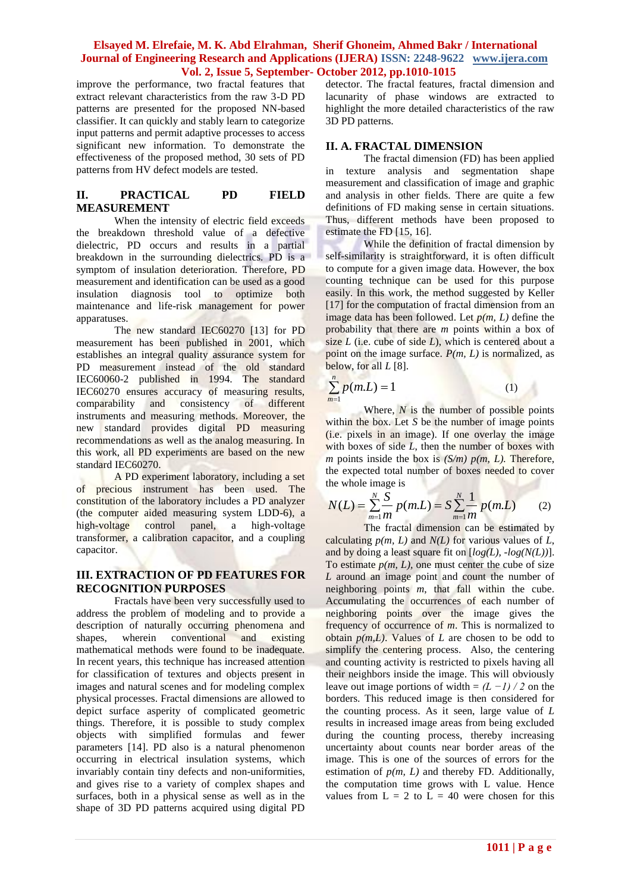improve the performance, two fractal features that extract relevant characteristics from the raw 3-D PD patterns are presented for the proposed NN-based classifier. It can quickly and stably learn to categorize input patterns and permit adaptive processes to access significant new information. To demonstrate the effectiveness of the proposed method, 30 sets of PD patterns from HV defect models are tested.

# **II. PRACTICAL PD FIELD MEASUREMENT**

When the intensity of electric field exceeds the breakdown threshold value of a defective dielectric, PD occurs and results in a partial breakdown in the surrounding dielectrics. PD is a symptom of insulation deterioration. Therefore, PD measurement and identification can be used as a good insulation diagnosis tool to optimize both maintenance and life-risk management for power apparatuses.

The new standard IEC60270 [13] for PD measurement has been published in 2001, which establishes an integral quality assurance system for PD measurement instead of the old standard IEC60060-2 published in 1994. The standard IEC60270 ensures accuracy of measuring results, comparability and consistency of different instruments and measuring methods. Moreover, the new standard provides digital PD measuring recommendations as well as the analog measuring. In this work, all PD experiments are based on the new standard IEC60270.

A PD experiment laboratory, including a set of precious instrument has been used. The constitution of the laboratory includes a PD analyzer (the computer aided measuring system LDD-6), a high-voltage control panel, a high-voltage transformer, a calibration capacitor, and a coupling capacitor.

## **III. EXTRACTION OF PD FEATURES FOR RECOGNITION PURPOSES**

Fractals have been very successfully used to address the problem of modeling and to provide a description of naturally occurring phenomena and shapes, wherein conventional and existing mathematical methods were found to be inadequate. In recent years, this technique has increased attention for classification of textures and objects present in images and natural scenes and for modeling complex physical processes. Fractal dimensions are allowed to depict surface asperity of complicated geometric things. Therefore, it is possible to study complex objects with simplified formulas and fewer parameters [14]. PD also is a natural phenomenon occurring in electrical insulation systems, which invariably contain tiny defects and non-uniformities, and gives rise to a variety of complex shapes and surfaces, both in a physical sense as well as in the shape of 3D PD patterns acquired using digital PD

detector. The fractal features, fractal dimension and lacunarity of phase windows are extracted to highlight the more detailed characteristics of the raw 3D PD patterns.

# **II. A. FRACTAL DIMENSION**

The fractal dimension (FD) has been applied in texture analysis and segmentation shape measurement and classification of image and graphic and analysis in other fields. There are quite a few definitions of FD making sense in certain situations. Thus, different methods have been proposed to estimate the FD [15, 16].

While the definition of fractal dimension by self-similarity is straightforward, it is often difficult to compute for a given image data. However, the box counting technique can be used for this purpose easily. In this work, the method suggested by Keller [17] for the computation of fractal dimension from an image data has been followed. Let  $p(m, L)$  define the probability that there are *m* points within a box of size *L* (i.e. cube of side *L*), which is centered about a point on the image surface.  $P(m, L)$  is normalized, as below, for all *L* [8].

$$
\sum_{m=1}^{n} p(m.L) = 1 \tag{1}
$$

Where, *N* is the number of possible points within the box. Let *S* be the number of image points (i.e. pixels in an image). If one overlay the image with boxes of side *L*, then the number of boxes with *m* points inside the box is  $(S/m)$   $p(m, L)$ . Therefore, the expected total number of boxes needed to cover the whole image is

$$
N(L) = \sum_{m=1}^{N} \sum_{m=1}^{S} p(m.L) = S \sum_{m=1}^{N} \frac{1}{m} p(m.L)
$$
 (2)

The fractal dimension can be estimated by calculating  $p(m, L)$  and  $N(L)$  for various values of  $L$ , and by doing a least square fit on [*log(L), -log(N(L))*]. To estimate  $p(m, L)$ , one must center the cube of size *L* around an image point and count the number of neighboring points *m*, that fall within the cube. Accumulating the occurrences of each number of neighboring points over the image gives the frequency of occurrence of *m*. This is normalized to obtain  $p(m, L)$ . Values of  $L$  are chosen to be odd to simplify the centering process. Also, the centering and counting activity is restricted to pixels having all their neighbors inside the image. This will obviously leave out image portions of width =  $(L -1)/2$  on the borders. This reduced image is then considered for the counting process. As it seen, large value of *L* results in increased image areas from being excluded during the counting process, thereby increasing uncertainty about counts near border areas of the image. This is one of the sources of errors for the estimation of  $p(m, L)$  and thereby FD. Additionally, the computation time grows with L value. Hence values from  $L = 2$  to  $\overline{L} = 40$  were chosen for this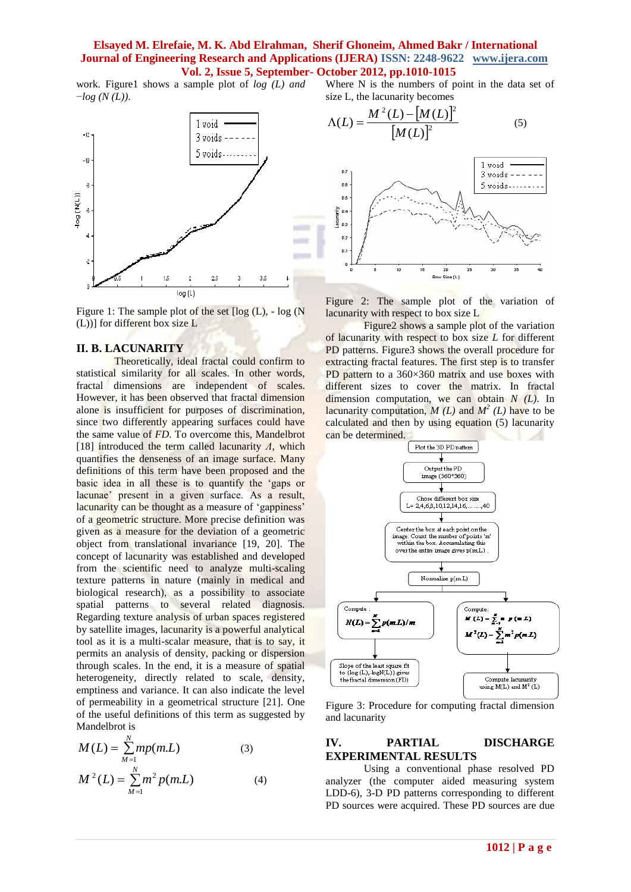work. Figure1 shows a sample plot of *log (L) and* −*log (N (L))*.



Figure 1: The sample plot of the set  $\lceil \log(L), - \log(N) \rceil$ (L))] for different box size L

#### **II. B. LACUNARITY**

Theoretically, ideal fractal could confirm to statistical similarity for all scales. In other words, fractal dimensions are independent of scales. However, it has been observed that fractal dimension alone is insufficient for purposes of discrimination, since two differently appearing surfaces could have the same value of *FD*. To overcome this, Mandelbrot [18] introduced the term called lacunarity *Λ*, which quantifies the denseness of an image surface. Many definitions of this term have been proposed and the basic idea in all these is to quantify the "gaps or lacunae" present in a given surface. As a result, lacunarity can be thought as a measure of 'gappiness' of a geometric structure. More precise definition was given as a measure for the deviation of a geometric object from translational invariance [19, 20]. The concept of lacunarity was established and developed from the scientific need to analyze multi-scaling texture patterns in nature (mainly in medical and biological research), as a possibility to associate spatial patterns to several related diagnosis. Regarding texture analysis of urban spaces registered by satellite images, lacunarity is a powerful analytical tool as it is a multi-scalar measure, that is to say, it permits an analysis of density, packing or dispersion through scales. In the end, it is a measure of spatial heterogeneity, directly related to scale, density, emptiness and variance. It can also indicate the level of permeability in a geometrical structure [21]. One of the useful definitions of this term as suggested by Mandelbrot is

$$
M(L) = \sum_{M=1}^{N} m p(m.L)
$$
 (3)  

$$
M^{2}(L) = \sum_{M=1}^{N} m^{2} p(m.L)
$$
 (4)

Where N is the numbers of point in the data set of size L, the lacunarity becomes





Figure 2: The sample plot of the variation of lacunarity with respect to box size L

Figure2 shows a sample plot of the variation of lacunarity with respect to box size *L* for different PD patterns. Figure 3 shows the overall procedure for extracting fractal features. The first step is to transfer PD pattern to a  $360\times360$  matrix and use boxes with different sizes to cover the matrix. In fractal dimension computation, we can obtain *N (L)*. In lacunarity computation,  $M(L)$  and  $M<sup>2</sup>(L)$  have to be calculated and then by using equation (5) lacunarity can be determined.



Figure 3: Procedure for computing fractal dimension and lacunarity

#### **IV. PARTIAL DISCHARGE EXPERIMENTAL RESULTS**

Using a conventional phase resolved PD analyzer (the computer aided measuring system LDD-6), 3-D PD patterns corresponding to different PD sources were acquired. These PD sources are due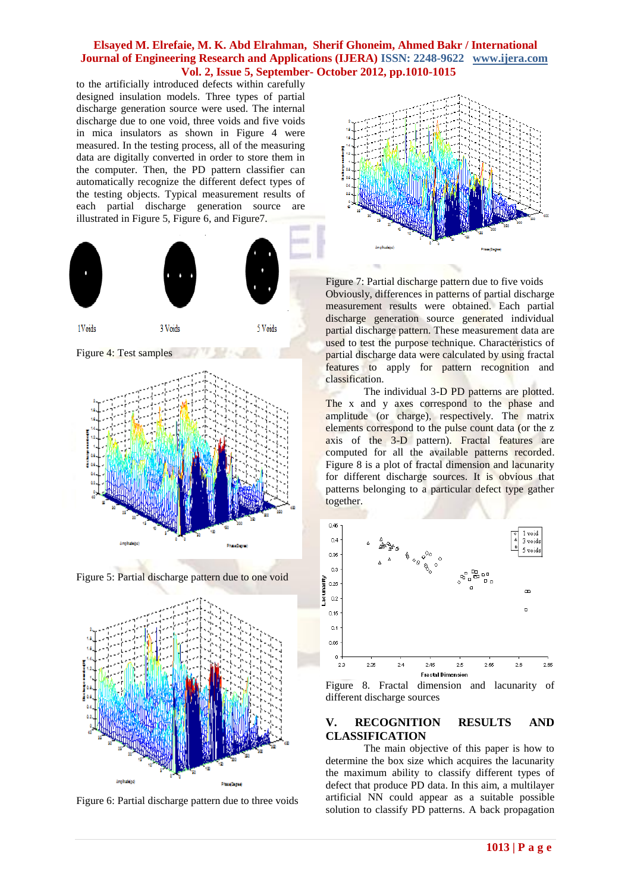to the artificially introduced defects within carefully designed insulation models. Three types of partial discharge generation source were used. The internal discharge due to one void, three voids and five voids in mica insulators as shown in Figure 4 were measured. In the testing process, all of the measuring data are digitally converted in order to store them in the computer. Then, the PD pattern classifier can automatically recognize the different defect types of the testing objects. Typical measurement results of each partial discharge generation source are illustrated in Figure 5, Figure 6, and Figure7.



Figure 4: Test samples







Figure 6: Partial discharge pattern due to three voids



Figure 7: Partial discharge pattern due to five voids Obviously, differences in patterns of partial discharge measurement results were obtained. Each partial discharge generation source generated individual partial discharge pattern. These measurement data are used to test the purpose technique. Characteristics of partial discharge data were calculated by using fractal features to apply for pattern recognition and classification.

The individual 3-D PD patterns are plotted. The x and y axes correspond to the phase and amplitude (or charge), respectively. The matrix elements correspond to the pulse count data (or the z axis of the 3-D pattern). Fractal features are computed for all the available patterns recorded. Figure 8 is a plot of fractal dimension and lacunarity for different discharge sources. It is obvious that patterns belonging to a particular defect type gather together.



Figure 8. Fractal dimension and lacunarity of different discharge sources

# **V. RECOGNITION RESULTS AND CLASSIFICATION**

The main objective of this paper is how to determine the box size which acquires the lacunarity the maximum ability to classify different types of defect that produce PD data. In this aim, a multilayer artificial NN could appear as a suitable possible solution to classify PD patterns. A back propagation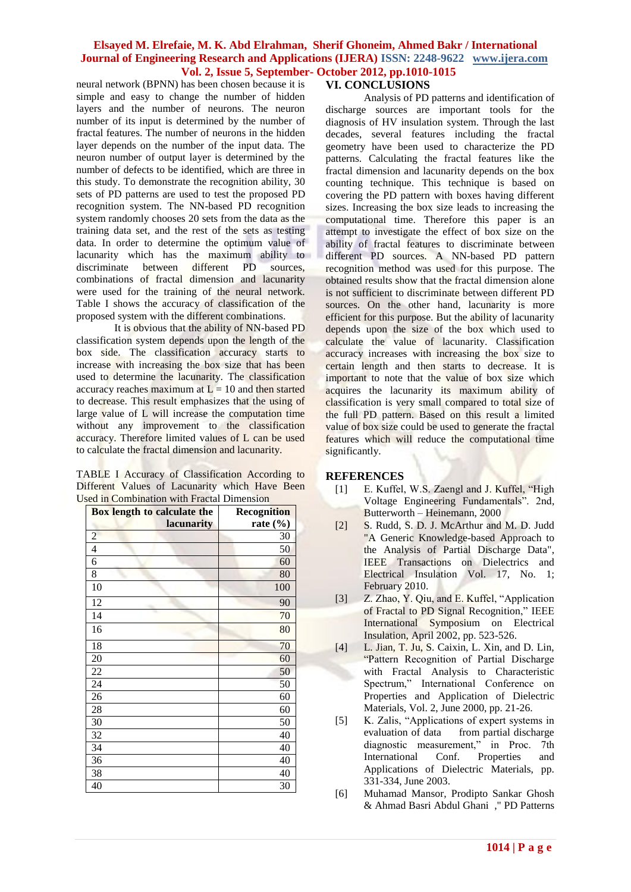neural network (BPNN) has been chosen because it is simple and easy to change the number of hidden layers and the number of neurons. The neuron number of its input is determined by the number of fractal features. The number of neurons in the hidden layer depends on the number of the input data. The neuron number of output layer is determined by the number of defects to be identified, which are three in this study. To demonstrate the recognition ability, 30 sets of PD patterns are used to test the proposed PD recognition system. The NN-based PD recognition system randomly chooses 20 sets from the data as the training data set, and the rest of the sets as testing data. In order to determine the optimum value of lacunarity which has the maximum ability to discriminate between different PD sources, combinations of fractal dimension and lacunarity were used for the training of the neural network. Table I shows the accuracy of classification of the proposed system with the different combinations.

It is obvious that the ability of NN-based PD classification system depends upon the length of the box side. The classification accuracy starts to increase with increasing the box size that has been used to determine the lacunarity. The classification accuracy reaches maximum at  $L = 10$  and then started to decrease. This result emphasizes that the using of large value of L will increase the computation time without any improvement to the classification accuracy. Therefore limited values of L can be used to calculate the fractal dimension and lacunarity.

TABLE I Accuracy of Classification According to Different Values of Lacunarity which Have Been Used in Combination with Fractal Dimension

| Box length to calculate the | <b>Recognition</b> |
|-----------------------------|--------------------|
| lacunarity                  | rate $(\% )$       |
| $\overline{c}$              | 30                 |
| $\overline{4}$              | 50                 |
| 6                           | 60                 |
| 8                           | 80                 |
| 10                          | 100                |
| 12                          | 90                 |
| 14                          | 70                 |
| 16                          | 80                 |
| 18                          | 70                 |
| 20                          | 60                 |
| 22                          | 50                 |
| 24                          | 50                 |
| 26                          | 60                 |
| 28                          | 60                 |
| 30                          | 50                 |
| 32                          | 40                 |
| 34                          | 40                 |
| 36                          | 40                 |
| 38                          | 40                 |
| 40                          | 30                 |

# **VI. CONCLUSIONS**

Analysis of PD patterns and identification of discharge sources are important tools for the diagnosis of HV insulation system. Through the last decades, several features including the fractal geometry have been used to characterize the PD patterns. Calculating the fractal features like the fractal dimension and lacunarity depends on the box counting technique. This technique is based on covering the PD pattern with boxes having different sizes. Increasing the box size leads to increasing the computational time. Therefore this paper is an attempt to investigate the effect of box size on the ability of fractal features to discriminate between different PD sources. A NN-based PD pattern recognition method was used for this purpose. The obtained results show that the fractal dimension alone is not sufficient to discriminate between different PD sources. On the other hand, lacunarity is more efficient for this purpose. But the ability of lacunarity depends upon the size of the box which used to calculate the value of lacunarity. Classification accuracy increases with increasing the box size to certain length and then starts to decrease. It is important to note that the value of box size which acquires the lacunarity its maximum ability of classification is very small compared to total size of the full PD pattern. Based on this result a limited value of box size could be used to generate the fractal features which will reduce the computational time significantly.

# **REFERENCES**

- [1] E. Kuffel, W.S. Zaengl and J. Kuffel, "High Voltage Engineering Fundamentals". 2nd, Butterworth – Heinemann, 2000
- [2] S. Rudd, S. D. J. McArthur and M. D. Judd "A Generic Knowledge-based Approach to the Analysis of Partial Discharge Data", IEEE Transactions on Dielectrics and Electrical Insulation Vol. 17, No. 1; February 2010.
- [3] Z. Zhao, Y. Qiu, and E. Kuffel, "Application of Fractal to PD Signal Recognition," IEEE International Symposium on Electrical Insulation, April 2002, pp. 523-526.
- [4] L. Jian, T. Ju, S. Caixin, L. Xin, and D. Lin, "Pattern Recognition of Partial Discharge with Fractal Analysis to Characteristic Spectrum," International Conference on Properties and Application of Dielectric Materials, Vol. 2, June 2000, pp. 21-26.
- [5] K. Zalis, "Applications of expert systems in evaluation of data from partial discharge diagnostic measurement," in Proc. 7th International Conf. Properties and Applications of Dielectric Materials, pp. 331-334, June 2003.
- [6] Muhamad Mansor, Prodipto Sankar Ghosh & Ahmad Basri Abdul Ghani ," PD Patterns